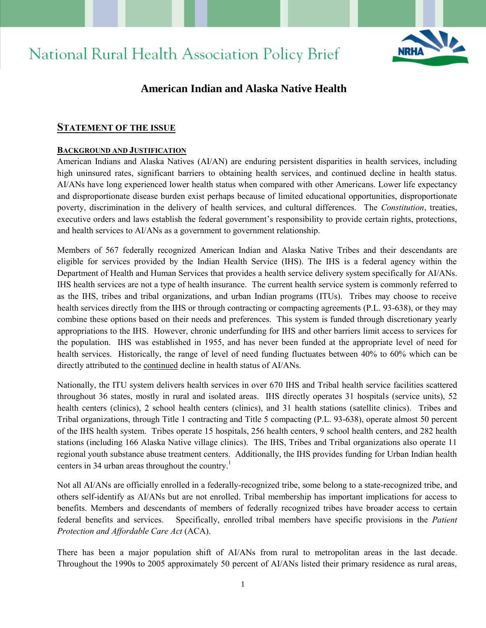# **National Rural Health Association Policy Brief**



# **American Indian and Alaska Native Health**

# **STATEMENT OF THE ISSUE**

#### **BACKGROUND AND JUSTIFICATION**

American Indians and Alaska Natives (AI/AN) are enduring persistent disparities in health services, including high uninsured rates, significant barriers to obtaining health services, and continued decline in health status. AI/ANs have long experienced lower health status when compared with other Americans. Lower life expectancy and disproportionate disease burden exist perhaps because of limited educational opportunities, disproportionate poverty, discrimination in the delivery of health services, and cultural differences.The *Constitution*, treaties, executive orders and laws establish the federal government's responsibility to provide certain rights, protections, and health services to AI/ANs as a government to government relationship.

Members of 567 federally recognized American Indian and Alaska Native Tribes and their descendants are eligible for services provided by the Indian Health Service (IHS). The IHS is a federal agency within the Department of Health and Human Services that provides a health service delivery system specifically for AI/ANs. IHS health services are not a type of health insurance. The current health service system is commonly referred to as the IHS, tribes and tribal organizations, and urban Indian programs (ITUs). Tribes may choose to receive health services directly from the IHS or through contracting or compacting agreements (P.L. 93-638), or they may combine these options based on their needs and preferences. This system is funded through discretionary yearly appropriations to the IHS. However, chronic underfunding for IHS and other barriers limit access to services for the population. IHS was established in 1955, and has never been funded at the appropriate level of need for health services. Historically, the range of level of need funding fluctuates between 40% to 60% which can be directly attributed to the continued decline in health status of AI/ANs.

Nationally, the ITU system delivers health services in over 670 IHS and Tribal health service facilities scattered throughout 36 states, mostly in rural and isolated areas. IHS directly operates 31 hospitals (service units), 52 health centers (clinics), 2 school health centers (clinics), and 31 health stations (satellite clinics). Tribes and Tribal organizations, through Title 1 contracting and Title 5 compacting (P.L. 93-638), operate almost 50 percent of the IHS health system. Tribes operate 15 hospitals, 256 health centers, 9 school health centers, and 282 health stations (including 166 Alaska Native village clinics). The IHS, Tribes and Tribal organizations also operate 11 regional youth substance abuse treatment centers. Additionally, the IHS provides funding for Urban Indian health centers in 34 urban areas throughout the country.<sup>1</sup>

Not all AI/ANs are officially enrolled in a federally-recognized tribe, some belong to a state-recognized tribe, and others self-identify as AI/ANs but are not enrolled. Tribal membership has important implications for access to benefits. Members and descendants of members of federally recognized tribes have broader access to certain federal benefits and services. Specifically, enrolled tribal members have specific provisions in the *Patient Protection and Affordable Care Act* (ACA).

There has been a major population shift of AI/ANs from rural to metropolitan areas in the last decade. Throughout the 1990s to 2005 approximately 50 percent of AI/ANs listed their primary residence as rural areas,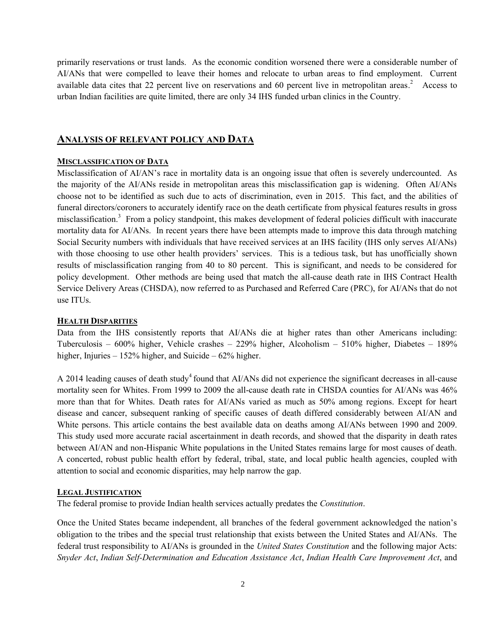primarily reservations or trust lands. As the economic condition worsened there were a considerable number of AI/ANs that were compelled to leave their homes and relocate to urban areas to find employment. Current available data cites that 22 percent live on reservations and 60 percent live in metropolitan areas.<sup>2</sup> Access to urban Indian facilities are quite limited, there are only 34 IHS funded urban clinics in the Country.

# **ANALYSIS OF RELEVANT POLICY AND DATA**

#### **MISCLASSIFICATION OF DATA**

Misclassification of AI/AN's race in mortality data is an ongoing issue that often is severely undercounted. As the majority of the AI/ANs reside in metropolitan areas this misclassification gap is widening. Often AI/ANs choose not to be identified as such due to acts of discrimination, even in 2015. This fact, and the abilities of funeral directors/coroners to accurately identify race on the death certificate from physical features results in gross misclassification.<sup>3</sup> From a policy standpoint, this makes development of federal policies difficult with inaccurate mortality data for AI/ANs. In recent years there have been attempts made to improve this data through matching Social Security numbers with individuals that have received services at an IHS facility (IHS only serves AI/ANs) with those choosing to use other health providers' services. This is a tedious task, but has unofficially shown results of misclassification ranging from 40 to 80 percent. This is significant, and needs to be considered for policy development. Other methods are being used that match the all-cause death rate in IHS Contract Health Service Delivery Areas (CHSDA), now referred to as Purchased and Referred Care (PRC), for AI/ANs that do not use ITUs.

#### **HEALTH DISPARITIES**

Data from the IHS consistently reports that AI/ANs die at higher rates than other Americans including: Tuberculosis – 600% higher, Vehicle crashes – 229% higher, Alcoholism – 510% higher, Diabetes – 189% higher, Injuries – 152% higher, and Suicide – 62% higher.

A 2014 leading causes of death study<sup>4</sup> found that AI/ANs did not experience the significant decreases in all-cause mortality seen for Whites. From 1999 to 2009 the all-cause death rate in CHSDA counties for AI/ANs was 46% more than that for Whites. Death rates for AI/ANs varied as much as 50% among regions. Except for heart disease and cancer, subsequent ranking of specific causes of death differed considerably between AI/AN and White persons. This article contains the best available data on deaths among AI/ANs between 1990 and 2009. This study used more accurate racial ascertainment in death records, and showed that the disparity in death rates between AI/AN and non-Hispanic White populations in the United States remains large for most causes of death. A concerted, robust public health effort by federal, tribal, state, and local public health agencies, coupled with attention to social and economic disparities, may help narrow the gap.

#### **LEGAL JUSTIFICATION**

The federal promise to provide Indian health services actually predates the *Constitution*.

Once the United States became independent, all branches of the federal government acknowledged the nation's obligation to the tribes and the special trust relationship that exists between the United States and AI/ANs. The federal trust responsibility to AI/ANs is grounded in the *United States Constitution* and the following major Acts: *Snyder Act*, *Indian Self-Determination and Education Assistance Act*, *Indian Health Care Improvement Act*, and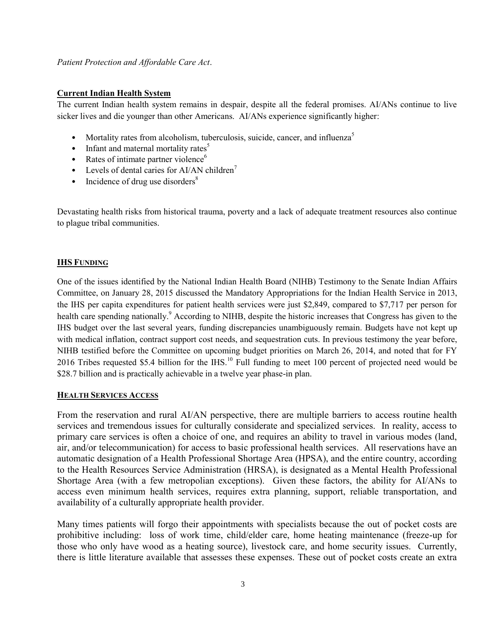#### *Patient Protection and Affordable Care Act*.

### **Current Indian Health System**

The current Indian health system remains in despair, despite all the federal promises. AI/ANs continue to live sicker lives and die younger than other Americans. AI/ANs experience significantly higher:

- Mortality rates from alcoholism, tuberculosis, suicide, cancer, and influenza<sup>5</sup>
- Infant and maternal mortality rates<sup>5</sup>
- Rates of intimate partner violence<sup>6</sup>
- Levels of dental caries for AI/AN children<sup>7</sup>
- Incidence of drug use disorders<sup>8</sup>

Devastating health risks from historical trauma, poverty and a lack of adequate treatment resources also continue to plague tribal communities.

#### **IHS FUNDING**

One of the issues identified by the National Indian Health Board (NIHB) Testimony to the Senate Indian Affairs Committee, on January 28, 2015 discussed the Mandatory Appropriations for the Indian Health Service in 2013, the IHS per capita expenditures for patient health services were just \$2,849, compared to \$7,717 per person for health care spending nationally.<sup>9</sup> According to NIHB, despite the historic increases that Congress has given to the IHS budget over the last several years, funding discrepancies unambiguously remain. Budgets have not kept up with medical inflation, contract support cost needs, and sequestration cuts. In previous testimony the year before, NIHB testified before the Committee on upcoming budget priorities on March 26, 2014, and noted that for FY 2016 Tribes requested \$5.4 billion for the IHS.<sup>10</sup> Full funding to meet 100 percent of projected need would be \$28.7 billion and is practically achievable in a twelve year phase-in plan.

#### **HEALTH SERVICES ACCESS**

From the reservation and rural AI/AN perspective, there are multiple barriers to access routine health services and tremendous issues for culturally considerate and specialized services. In reality, access to primary care services is often a choice of one, and requires an ability to travel in various modes (land, air, and/or telecommunication) for access to basic professional health services. All reservations have an automatic designation of a Health Professional Shortage Area (HPSA), and the entire country, according to the Health Resources Service Administration (HRSA), is designated as a Mental Health Professional Shortage Area (with a few metropolian exceptions). Given these factors, the ability for AI/ANs to access even minimum health services, requires extra planning, support, reliable transportation, and availability of a culturally appropriate health provider.

Many times patients will forgo their appointments with specialists because the out of pocket costs are prohibitive including: loss of work time, child/elder care, home heating maintenance (freeze-up for those who only have wood as a heating source), livestock care, and home security issues. Currently, there is little literature available that assesses these expenses. These out of pocket costs create an extra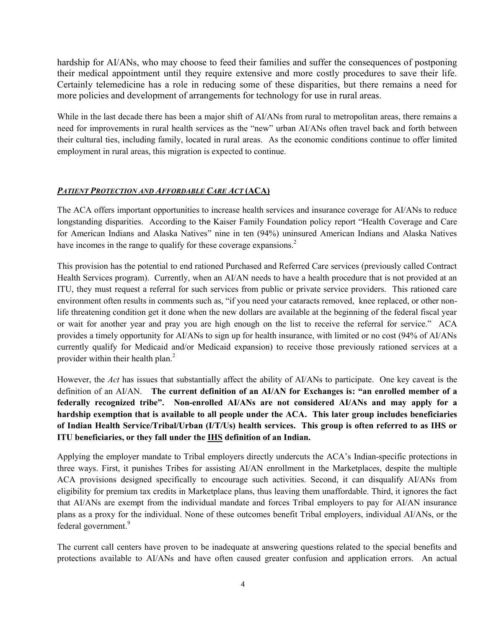hardship for AI/ANs, who may choose to feed their families and suffer the consequences of postponing their medical appointment until they require extensive and more costly procedures to save their life. Certainly telemedicine has a role in reducing some of these disparities, but there remains a need for more policies and development of arrangements for technology for use in rural areas.

While in the last decade there has been a major shift of AI/ANs from rural to metropolitan areas, there remains a need for improvements in rural health services as the "new" urban AI/ANs often travel back and forth between their cultural ties, including family, located in rural areas. As the economic conditions continue to offer limited employment in rural areas, this migration is expected to continue.

## *PATIENT PROTECTION AND AFFORDABLE CARE ACT* **(ACA)**

The ACA offers important opportunities to increase health services and insurance coverage for AI/ANs to reduce longstanding disparities. According to the Kaiser Family Foundation policy report "Health Coverage and Care for American Indians and Alaska Natives" nine in ten (94%) uninsured American Indians and Alaska Natives have incomes in the range to qualify for these coverage expansions.<sup>2</sup>

This provision has the potential to end rationed Purchased and Referred Care services (previously called Contract Health Services program). Currently, when an AI/AN needs to have a health procedure that is not provided at an ITU, they must request a referral for such services from public or private service providers. This rationed care environment often results in comments such as, "if you need your cataracts removed, knee replaced, or other nonlife threatening condition get it done when the new dollars are available at the beginning of the federal fiscal year or wait for another year and pray you are high enough on the list to receive the referral for service." ACA provides a timely opportunity for AI/ANs to sign up for health insurance, with limited or no cost (94% of AI/ANs currently qualify for Medicaid and/or Medicaid expansion) to receive those previously rationed services at a provider within their health plan.<sup>2</sup>

However, the *Act* has issues that substantially affect the ability of AI/ANs to participate. One key caveat is the definition of an AI/AN. **The current definition of an AI/AN for Exchanges is: "an enrolled member of a federally recognized tribe". Non-enrolled AI/ANs are not considered AI/ANs and may apply for a hardship exemption that is available to all people under the ACA. This later group includes beneficiaries of Indian Health Service/Tribal/Urban (I/T/Us) health services. This group is often referred to as IHS or ITU beneficiaries, or they fall under the IHS definition of an Indian.**

Applying the employer mandate to Tribal employers directly undercuts the ACA's Indian-specific protections in three ways. First, it punishes Tribes for assisting AI/AN enrollment in the Marketplaces, despite the multiple ACA provisions designed specifically to encourage such activities. Second, it can disqualify AI/ANs from eligibility for premium tax credits in Marketplace plans, thus leaving them unaffordable. Third, it ignores the fact that AI/ANs are exempt from the individual mandate and forces Tribal employers to pay for AI/AN insurance plans as a proxy for the individual. None of these outcomes benefit Tribal employers, individual AI/ANs, or the federal government. 9

The current call centers have proven to be inadequate at answering questions related to the special benefits and protections available to AI/ANs and have often caused greater confusion and application errors. An actual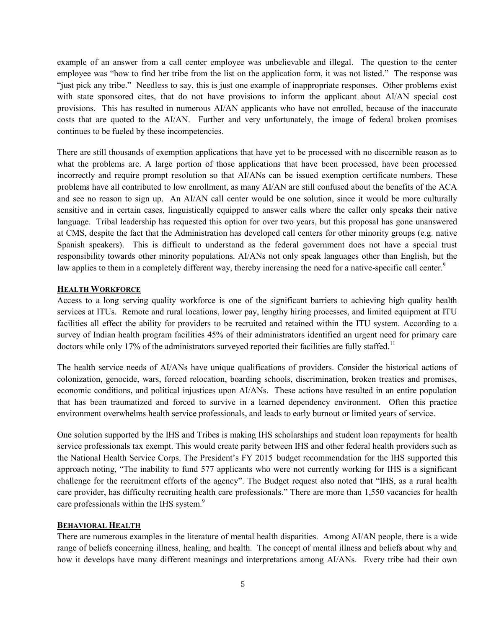example of an answer from a call center employee was unbelievable and illegal. The question to the center employee was "how to find her tribe from the list on the application form, it was not listed." The response was "just pick any tribe." Needless to say, this is just one example of inappropriate responses. Other problems exist with state sponsored cites, that do not have provisions to inform the applicant about AI/AN special cost provisions. This has resulted in numerous AI/AN applicants who have not enrolled, because of the inaccurate costs that are quoted to the AI/AN. Further and very unfortunately, the image of federal broken promises continues to be fueled by these incompetencies.

There are still thousands of exemption applications that have yet to be processed with no discernible reason as to what the problems are. A large portion of those applications that have been processed, have been processed incorrectly and require prompt resolution so that AI/ANs can be issued exemption certificate numbers. These problems have all contributed to low enrollment, as many AI/AN are still confused about the benefits of the ACA and see no reason to sign up. An AI/AN call center would be one solution, since it would be more culturally sensitive and in certain cases, linguistically equipped to answer calls where the caller only speaks their native language. Tribal leadership has requested this option for over two years, but this proposal has gone unanswered at CMS, despite the fact that the Administration has developed call centers for other minority groups (e.g. native Spanish speakers). This is difficult to understand as the federal government does not have a special trust responsibility towards other minority populations. AI/ANs not only speak languages other than English, but the law applies to them in a completely different way, thereby increasing the need for a native-specific call center.<sup>9</sup>

#### **HEALTH WORKFORCE**

Access to a long serving quality workforce is one of the significant barriers to achieving high quality health services at ITUs. Remote and rural locations, lower pay, lengthy hiring processes, and limited equipment at ITU facilities all effect the ability for providers to be recruited and retained within the ITU system. According to a survey of Indian health program facilities 45% of their administrators identified an urgent need for primary care doctors while only 17% of the administrators surveyed reported their facilities are fully staffed.<sup>11</sup>

The health service needs of AI/ANs have unique qualifications of providers. Consider the historical actions of colonization, genocide, wars, forced relocation, boarding schools, discrimination, broken treaties and promises, economic conditions, and political injustices upon AI/ANs. These actions have resulted in an entire population that has been traumatized and forced to survive in a learned dependency environment. Often this practice environment overwhelms health service professionals, and leads to early burnout or limited years of service.

One solution supported by the IHS and Tribes is making IHS scholarships and student loan repayments for health service professionals tax exempt. This would create parity between IHS and other federal health providers such as the National Health Service Corps. The President's FY 2015 budget recommendation for the IHS supported this approach noting, "The inability to fund 577 applicants who were not currently working for IHS is a significant challenge for the recruitment efforts of the agency". The Budget request also noted that "IHS, as a rural health care provider, has difficulty recruiting health care professionals." There are more than 1,550 vacancies for health care professionals within the IHS system.<sup>9</sup>

#### **BEHAVIORAL HEALTH**

There are numerous examples in the literature of mental health disparities. Among AI/AN people, there is a wide range of beliefs concerning illness, healing, and health. The concept of mental illness and beliefs about why and how it develops have many different meanings and interpretations among AI/ANs. Every tribe had their own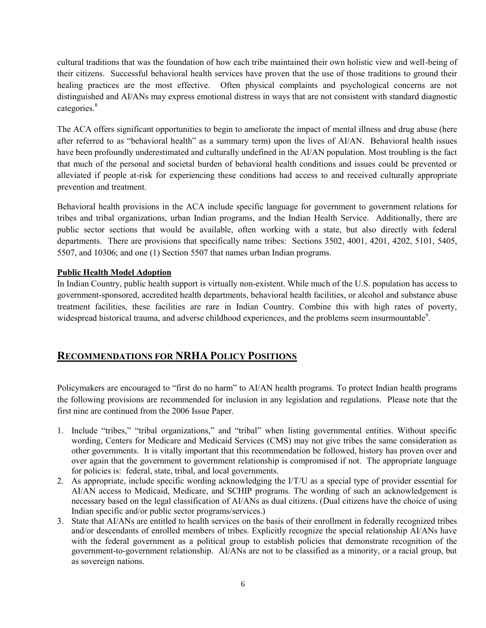cultural traditions that was the foundation of how each tribe maintained their own holistic view and well-being of their citizens. Successful behavioral health services have proven that the use of those traditions to ground their healing practices are the most effective. Often physical complaints and psychological concerns are not distinguished and AI/ANs may express emotional distress in ways that are not consistent with standard diagnostic categories. 8

The ACA offers significant opportunities to begin to ameliorate the impact of mental illness and drug abuse (here after referred to as "behavioral health" as a summary term) upon the lives of AI/AN. Behavioral health issues have been profoundly underestimated and culturally undefined in the AI/AN population. Most troubling is the fact that much of the personal and societal burden of behavioral health conditions and issues could be prevented or alleviated if people at-risk for experiencing these conditions had access to and received culturally appropriate prevention and treatment.

Behavioral health provisions in the ACA include specific language for government to government relations for tribes and tribal organizations, urban Indian programs, and the Indian Health Service. Additionally, there are public sector sections that would be available, often working with a state, but also directly with federal departments. There are provisions that specifically name tribes: Sections 3502, 4001, 4201, 4202, 5101, 5405, 5507, and 10306; and one (1) Section 5507 that names urban Indian programs.

## **Public Health Model Adoption**

In Indian Country, public health support is virtually non-existent. While much of the U.S. population has access to government-sponsored, accredited health departments, behavioral health facilities, or alcohol and substance abuse treatment facilities, these facilities are rare in Indian Country. Combine this with high rates of poverty, widespread historical trauma, and adverse childhood experiences, and the problems seem insurmountable $\delta$ .

# **RECOMMENDATIONS FOR NRHA POLICY POSITIONS**

Policymakers are encouraged to "first do no harm" to AI/AN health programs. To protect Indian health programs the following provisions are recommended for inclusion in any legislation and regulations. Please note that the first nine are continued from the 2006 Issue Paper.

- 1. Include "tribes," "tribal organizations," and "tribal" when listing governmental entities. Without specific wording, Centers for Medicare and Medicaid Services (CMS) may not give tribes the same consideration as other governments. It is vitally important that this recommendation be followed, history has proven over and over again that the government to government relationship is compromised if not. The appropriate language for policies is: federal, state, tribal, and local governments.
- 2. As appropriate, include specific wording acknowledging the I/T/U as a special type of provider essential for AI/AN access to Medicaid, Medicare, and SCHIP programs. The wording of such an acknowledgement is necessary based on the legal classification of AI/ANs as dual citizens. (Dual citizens have the choice of using Indian specific and/or public sector programs/services.)
- 3. State that AI/ANs are entitled to health services on the basis of their enrollment in federally recognized tribes and/or descendants of enrolled members of tribes. Explicitly recognize the special relationship AI/ANs have with the federal government as a political group to establish policies that demonstrate recognition of the government-to-government relationship. AI/ANs are not to be classified as a minority, or a racial group, but as sovereign nations.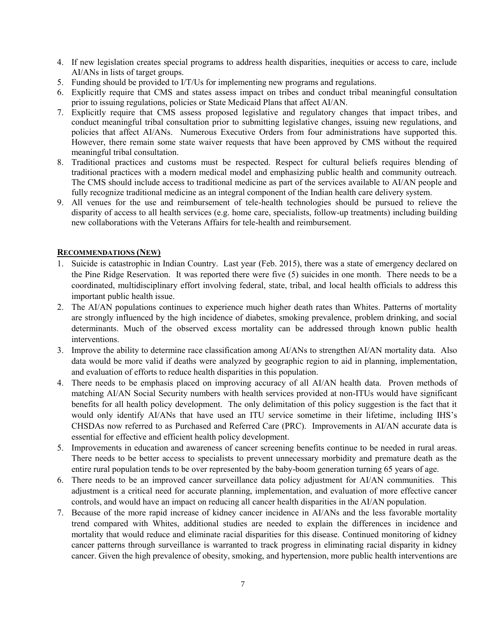- 4. If new legislation creates special programs to address health disparities, inequities or access to care, include AI/ANs in lists of target groups.
- 5. Funding should be provided to I/T/Us for implementing new programs and regulations.
- 6. Explicitly require that CMS and states assess impact on tribes and conduct tribal meaningful consultation prior to issuing regulations, policies or State Medicaid Plans that affect AI/AN.
- 7. Explicitly require that CMS assess proposed legislative and regulatory changes that impact tribes, and conduct meaningful tribal consultation prior to submitting legislative changes, issuing new regulations, and policies that affect AI/ANs. Numerous Executive Orders from four administrations have supported this. However, there remain some state waiver requests that have been approved by CMS without the required meaningful tribal consultation.
- 8. Traditional practices and customs must be respected. Respect for cultural beliefs requires blending of traditional practices with a modern medical model and emphasizing public health and community outreach. The CMS should include access to traditional medicine as part of the services available to AI/AN people and fully recognize traditional medicine as an integral component of the Indian health care delivery system.
- 9. All venues for the use and reimbursement of tele-health technologies should be pursued to relieve the disparity of access to all health services (e.g. home care, specialists, follow-up treatments) including building new collaborations with the Veterans Affairs for tele-health and reimbursement.

#### **RECOMMENDATIONS (NEW)**

- 1. Suicide is catastrophic in Indian Country. Last year (Feb. 2015), there was a state of emergency declared on the Pine Ridge Reservation. It was reported there were five (5) suicides in one month. There needs to be a coordinated, multidisciplinary effort involving federal, state, tribal, and local health officials to address this important public health issue.
- 2. The AI/AN populations continues to experience much higher death rates than Whites. Patterns of mortality are strongly influenced by the high incidence of diabetes, smoking prevalence, problem drinking, and social determinants. Much of the observed excess mortality can be addressed through known public health interventions.
- 3. Improve the ability to determine race classification among AI/ANs to strengthen AI/AN mortality data. Also data would be more valid if deaths were analyzed by geographic region to aid in planning, implementation, and evaluation of efforts to reduce health disparities in this population.
- 4. There needs to be emphasis placed on improving accuracy of all AI/AN health data. Proven methods of matching AI/AN Social Security numbers with health services provided at non-ITUs would have significant benefits for all health policy development. The only delimitation of this policy suggestion is the fact that it would only identify AI/ANs that have used an ITU service sometime in their lifetime, including IHS's CHSDAs now referred to as Purchased and Referred Care (PRC). Improvements in AI/AN accurate data is essential for effective and efficient health policy development.
- 5. Improvements in education and awareness of cancer screening benefits continue to be needed in rural areas. There needs to be better access to specialists to prevent unnecessary morbidity and premature death as the entire rural population tends to be over represented by the baby-boom generation turning 65 years of age.
- 6. There needs to be an improved cancer surveillance data policy adjustment for AI/AN communities. This adjustment is a critical need for accurate planning, implementation, and evaluation of more effective cancer controls, and would have an impact on reducing all cancer health disparities in the AI/AN population.
- 7. Because of the more rapid increase of kidney cancer incidence in AI/ANs and the less favorable mortality trend compared with Whites, additional studies are needed to explain the differences in incidence and mortality that would reduce and eliminate racial disparities for this disease. Continued monitoring of kidney cancer patterns through surveillance is warranted to track progress in eliminating racial disparity in kidney cancer. Given the high prevalence of obesity, smoking, and hypertension, more public health interventions are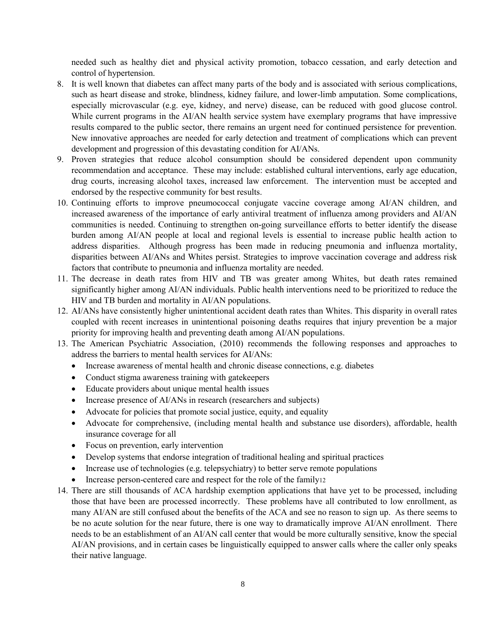needed such as healthy diet and physical activity promotion, tobacco cessation, and early detection and control of hypertension.

- 8. It is well known that diabetes can affect many parts of the body and is associated with serious complications, such as heart disease and stroke, blindness, kidney failure, and lower-limb amputation. Some complications, especially microvascular (e.g. eye, kidney, and nerve) disease, can be reduced with good glucose control. While current programs in the AI/AN health service system have exemplary programs that have impressive results compared to the public sector, there remains an urgent need for continued persistence for prevention. New innovative approaches are needed for early detection and treatment of complications which can prevent development and progression of this devastating condition for AI/ANs.
- 9. Proven strategies that reduce alcohol consumption should be considered dependent upon community recommendation and acceptance. These may include: established cultural interventions, early age education, drug courts, increasing alcohol taxes, increased law enforcement. The intervention must be accepted and endorsed by the respective community for best results.
- 10. Continuing efforts to improve pneumococcal conjugate vaccine coverage among AI/AN children, and increased awareness of the importance of early antiviral treatment of influenza among providers and AI/AN communities is needed. Continuing to strengthen on-going surveillance efforts to better identify the disease burden among AI/AN people at local and regional levels is essential to increase public health action to address disparities. Although progress has been made in reducing pneumonia and influenza mortality, disparities between AI/ANs and Whites persist. Strategies to improve vaccination coverage and address risk factors that contribute to pneumonia and influenza mortality are needed.
- 11. The decrease in death rates from HIV and TB was greater among Whites, but death rates remained significantly higher among AI/AN individuals. Public health interventions need to be prioritized to reduce the HIV and TB burden and mortality in AI/AN populations.
- 12. AI/ANs have consistently higher unintentional accident death rates than Whites. This disparity in overall rates coupled with recent increases in unintentional poisoning deaths requires that injury prevention be a major priority for improving health and preventing death among AI/AN populations.
- 13. The American Psychiatric Association, (2010) recommends the following responses and approaches to address the barriers to mental health services for AI/ANs:
	- Increase awareness of mental health and chronic disease connections, e.g. diabetes
	- Conduct stigma awareness training with gatekeepers
	- Educate providers about unique mental health issues
	- Increase presence of AI/ANs in research (researchers and subjects)
	- Advocate for policies that promote social justice, equity, and equality
	- Advocate for comprehensive, (including mental health and substance use disorders), affordable, health insurance coverage for all
	- Focus on prevention, early intervention
	- Develop systems that endorse integration of traditional healing and spiritual practices
	- Increase use of technologies (e.g. telepsychiatry) to better serve remote populations
	- Increase person-centered care and respect for the role of the family12
- 14. There are still thousands of ACA hardship exemption applications that have yet to be processed, including those that have been are processed incorrectly. These problems have all contributed to low enrollment, as many AI/AN are still confused about the benefits of the ACA and see no reason to sign up. As there seems to be no acute solution for the near future, there is one way to dramatically improve AI/AN enrollment. There needs to be an establishment of an AI/AN call center that would be more culturally sensitive, know the special AI/AN provisions, and in certain cases be linguistically equipped to answer calls where the caller only speaks their native language.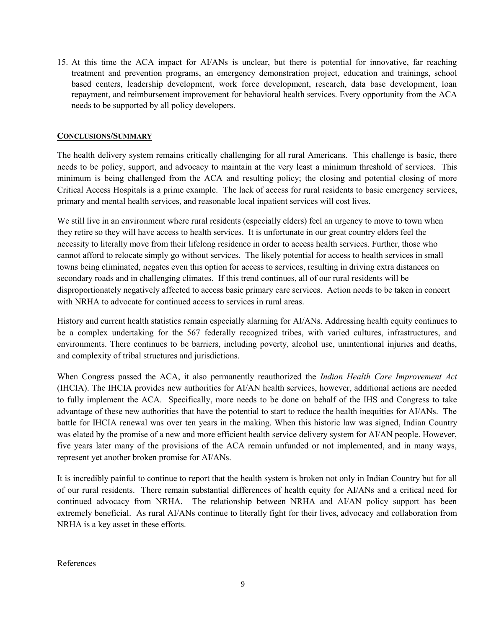15. At this time the ACA impact for AI/ANs is unclear, but there is potential for innovative, far reaching treatment and prevention programs, an emergency demonstration project, education and trainings, school based centers, leadership development, work force development, research, data base development, loan repayment, and reimbursement improvement for behavioral health services. Every opportunity from the ACA needs to be supported by all policy developers.

#### **CONCLUSIONS/SUMMARY**

The health delivery system remains critically challenging for all rural Americans. This challenge is basic, there needs to be policy, support, and advocacy to maintain at the very least a minimum threshold of services. This minimum is being challenged from the ACA and resulting policy; the closing and potential closing of more Critical Access Hospitals is a prime example. The lack of access for rural residents to basic emergency services, primary and mental health services, and reasonable local inpatient services will cost lives.

We still live in an environment where rural residents (especially elders) feel an urgency to move to town when they retire so they will have access to health services. It is unfortunate in our great country elders feel the necessity to literally move from their lifelong residence in order to access health services. Further, those who cannot afford to relocate simply go without services. The likely potential for access to health services in small towns being eliminated, negates even this option for access to services, resulting in driving extra distances on secondary roads and in challenging climates. If this trend continues, all of our rural residents will be disproportionately negatively affected to access basic primary care services. Action needs to be taken in concert with NRHA to advocate for continued access to services in rural areas.

History and current health statistics remain especially alarming for AI/ANs. Addressing health equity continues to be a complex undertaking for the 567 federally recognized tribes, with varied cultures, infrastructures, and environments. There continues to be barriers, including poverty, alcohol use, unintentional injuries and deaths, and complexity of tribal structures and jurisdictions.

When Congress passed the ACA, it also permanently reauthorized the *Indian Health Care Improvement Act* (IHCIA). The IHCIA provides new authorities for AI/AN health services, however, additional actions are needed to fully implement the ACA. Specifically, more needs to be done on behalf of the IHS and Congress to take advantage of these new authorities that have the potential to start to reduce the health inequities for AI/ANs. The battle for IHCIA renewal was over ten years in the making. When this historic law was signed, Indian Country was elated by the promise of a new and more efficient health service delivery system for AI/AN people. However, five years later many of the provisions of the ACA remain unfunded or not implemented, and in many ways, represent yet another broken promise for AI/ANs.

It is incredibly painful to continue to report that the health system is broken not only in Indian Country but for all of our rural residents. There remain substantial differences of health equity for AI/ANs and a critical need for continued advocacy from NRHA. The relationship between NRHA and AI/AN policy support has been extremely beneficial. As rural AI/ANs continue to literally fight for their lives, advocacy and collaboration from NRHA is a key asset in these efforts.

References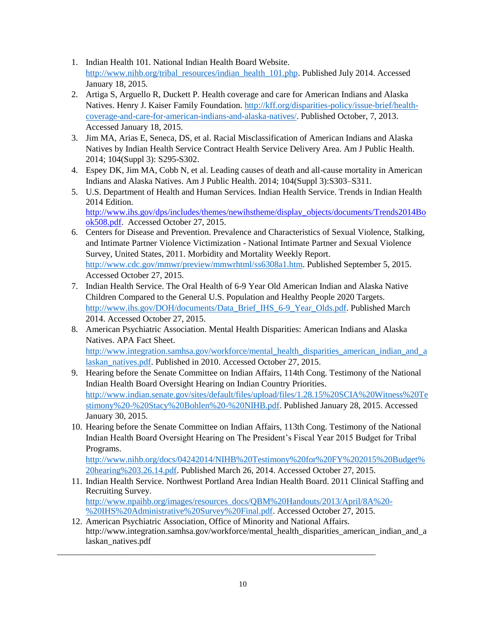- 1. Indian Health 101. National Indian Health Board Website. [http://www.nihb.org/tribal\\_resources/indian\\_health\\_101.php.](http://www.nihb.org/tribal_resources/indian_health_101.php) Published July 2014. Accessed January 18, 2015.
- 2. Artiga S, Arguello R, Duckett P. Health coverage and care for American Indians and Alaska Natives. Henry J. Kaiser Family Foundation. [http://kff.org/disparities-policy/issue-brief/health](http://kff.org/disparities-policy/issue-brief/health-coverage-and-care-for-american-indians-and-alaska-natives/)[coverage-and-care-for-american-indians-and-alaska-natives/.](http://kff.org/disparities-policy/issue-brief/health-coverage-and-care-for-american-indians-and-alaska-natives/) Published October, 7, 2013. Accessed January 18, 2015.
- 3. Jim MA, Arias E, Seneca, DS, et al. Racial Misclassification of American Indians and Alaska Natives by Indian Health Service Contract Health Service Delivery Area. Am J Public Health. 2014; 104(Suppl 3): S295-S302.
- 4. Espey DK, Jim MA, Cobb N, et al. Leading causes of death and all-cause mortality in American Indians and Alaska Natives. Am J Public Health. 2014; 104(Suppl 3):S303–S311.
- 5. U.S. Department of Health and Human Services. Indian Health Service. Trends in Indian Health 2014 Edition. [http://www.ihs.gov/dps/includes/themes/newihstheme/display\\_objects/documents/Trends2014Bo](http://www.ihs.gov/dps/includes/themes/newihstheme/display_objects/documents/Trends2014Book508.pdf) [ok508.pdf.](http://www.ihs.gov/dps/includes/themes/newihstheme/display_objects/documents/Trends2014Book508.pdf) Accessed October 27, 2015.
- 6. Centers for Disease and Prevention. Prevalence and Characteristics of Sexual Violence, Stalking, and Intimate Partner Violence Victimization - National Intimate Partner and Sexual Violence Survey, United States, 2011. Morbidity and Mortality Weekly Report. [http://www.cdc.gov/mmwr/preview/mmwrhtml/ss6308a1.htm.](http://www.cdc.gov/mmwr/preview/mmwrhtml/ss6308a1.htm) Published September 5, 2015. Accessed October 27, 2015.
- 7. Indian Health Service. The Oral Health of 6-9 Year Old American Indian and Alaska Native Children Compared to the General U.S. Population and Healthy People 2020 Targets. [http://www.ihs.gov/DOH/documents/Data\\_Brief\\_IHS\\_6-9\\_Year\\_Olds.pdf.](http://www.ihs.gov/DOH/documents/Data_Brief_IHS_6-9_Year_Olds.pdf) Published March 2014. Accessed October 27, 2015.
- 8. American Psychiatric Association. Mental Health Disparities: American Indians and Alaska Natives. APA Fact Sheet. [http://www.integration.samhsa.gov/workforce/mental\\_health\\_disparities\\_american\\_indian\\_and\\_a](http://www.integration.samhsa.gov/workforce/mental_health_disparities_american_indian_and_alaskan_natives.pdf) [laskan\\_natives.pdf.](http://www.integration.samhsa.gov/workforce/mental_health_disparities_american_indian_and_alaskan_natives.pdf) Published in 2010. Accessed October 27, 2015.
- 9. Hearing before the Senate Committee on Indian Affairs, 114th Cong. Testimony of the National Indian Health Board Oversight Hearing on Indian Country Priorities. [http://www.indian.senate.gov/sites/default/files/upload/files/1.28.15%20SCIA%20Witness%20Te](http://www.indian.senate.gov/sites/default/files/upload/files/1.28.15%20SCIA%20Witness%20Testimony%20-%20Stacy%20Bohlen%20-%20NIHB.pdf) [stimony%20-%20Stacy%20Bohlen%20-%20NIHB.pdf.](http://www.indian.senate.gov/sites/default/files/upload/files/1.28.15%20SCIA%20Witness%20Testimony%20-%20Stacy%20Bohlen%20-%20NIHB.pdf) Published January 28, 2015. Accessed January 30, 2015.
- 10. Hearing before the Senate Committee on Indian Affairs, 113th Cong. Testimony of the National Indian Health Board Oversight Hearing on The President's Fiscal Year 2015 Budget for Tribal Programs.

[http://www.nihb.org/docs/04242014/NIHB%20Testimony%20for%20FY%202015%20Budget%](http://www.nihb.org/docs/04242014/NIHB%20Testimony%20for%20FY%202015%20Budget%20hearing%203.26.14.pdf) [20hearing%203.26.14.pdf.](http://www.nihb.org/docs/04242014/NIHB%20Testimony%20for%20FY%202015%20Budget%20hearing%203.26.14.pdf) Published March 26, 2014. Accessed October 27, 2015.

- 11. Indian Health Service. Northwest Portland Area Indian Health Board. 2011 Clinical Staffing and Recruiting Survey. [http://www.npaihb.org/images/resources\\_docs/QBM%20Handouts/2013/April/8A%20-](http://www.npaihb.org/images/resources_docs/QBM%20Handouts/2013/April/8A%20-%20IHS%20Administrative%20Survey%20Final.pdf) [%20IHS%20Administrative%20Survey%20Final.pdf.](http://www.npaihb.org/images/resources_docs/QBM%20Handouts/2013/April/8A%20-%20IHS%20Administrative%20Survey%20Final.pdf) Accessed October 27, 2015.
- 12. American Psychiatric Association, Office of Minority and National Affairs. http://www.integration.samhsa.gov/workforce/mental\_health\_disparities\_american\_indian\_and\_a laskan\_natives.pdf

\_\_\_\_\_\_\_\_\_\_\_\_\_\_\_\_\_\_\_\_\_\_\_\_\_\_\_\_\_\_\_\_\_\_\_\_\_\_\_\_\_\_\_\_\_\_\_\_\_\_\_\_\_\_\_\_\_\_\_\_\_\_\_\_\_\_\_\_\_\_\_\_\_